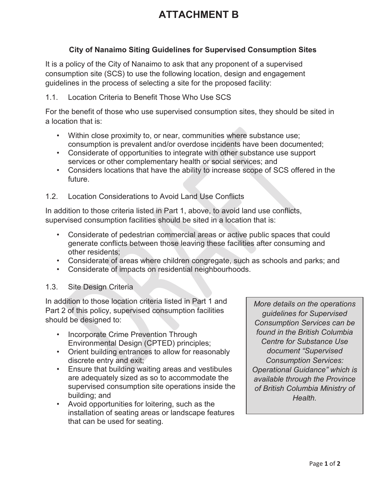# **ATTACHMENT B**

## **City of Nanaimo Siting Guidelines for Supervised Consumption Sites**

It is a policy of the City of Nanaimo to ask that any proponent of a supervised consumption site (SCS) to use the following location, design and engagement guidelines in the process of selecting a site for the proposed facility:

## 1.1. Location Criteria to Benefit Those Who Use SCS

For the benefit of those who use supervised consumption sites, they should be sited in a location that is:

- Within close proximity to, or near, communities where substance use; consumption is prevalent and/or overdose incidents have been documented;
- Considerate of opportunities to integrate with other substance use support services or other complementary health or social services; and
- Considers locations that have the ability to increase scope of SCS offered in the future.
- 1.2. Location Considerations to Avoid Land Use Conflicts

In addition to those criteria listed in Part 1, above, to avoid land use conflicts, supervised consumption facilities should be sited in a location that is:

- Considerate of pedestrian commercial areas or active public spaces that could generate conflicts between those leaving these facilities after consuming and other residents;
- Considerate of areas where children congregate, such as schools and parks; and
- Considerate of impacts on residential neighbourhoods.

### 1.3. Site Design Criteria

In addition to those location criteria listed in Part 1 and Part 2 of this policy, supervised consumption facilities should be designed to:

- Incorporate Crime Prevention Through Environmental Design (CPTED) principles;
- Orient building entrances to allow for reasonably discrete entry and exit;
- Ensure that building waiting areas and vestibules are adequately sized as so to accommodate the supervised consumption site operations inside the building; and
- Avoid opportunities for loitering, such as the installation of seating areas or landscape features that can be used for seating.

*More details on the operations guidelines for Supervised Consumption Services can be found in the British Columbia Centre for Substance Use document "Supervised Consumption Services: Operational Guidance" which is available through the Province of British Columbia Ministry of Health.*